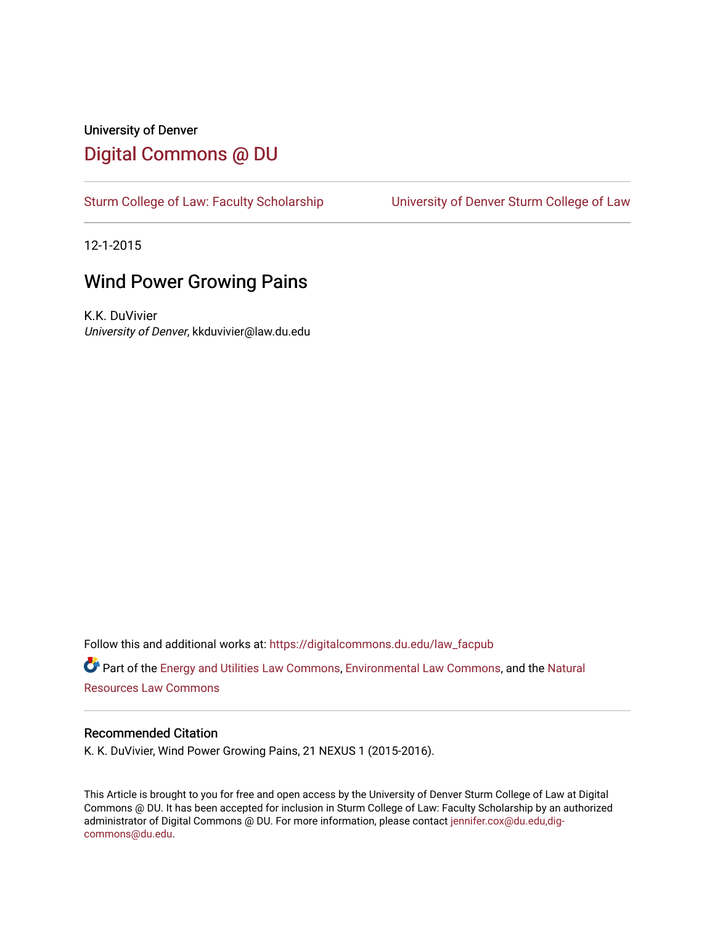# University of Denver [Digital Commons @ DU](https://digitalcommons.du.edu/)

[Sturm College of Law: Faculty Scholarship](https://digitalcommons.du.edu/law_facpub) [University of Denver Sturm College of Law](https://digitalcommons.du.edu/denver_law) 

12-1-2015

# Wind Power Growing Pains

K.K. DuVivier University of Denver, kkduvivier@law.du.edu

Follow this and additional works at: [https://digitalcommons.du.edu/law\\_facpub](https://digitalcommons.du.edu/law_facpub?utm_source=digitalcommons.du.edu%2Flaw_facpub%2F306&utm_medium=PDF&utm_campaign=PDFCoverPages)  Part of the [Energy and Utilities Law Commons,](http://network.bepress.com/hgg/discipline/891?utm_source=digitalcommons.du.edu%2Flaw_facpub%2F306&utm_medium=PDF&utm_campaign=PDFCoverPages) [Environmental Law Commons](http://network.bepress.com/hgg/discipline/599?utm_source=digitalcommons.du.edu%2Flaw_facpub%2F306&utm_medium=PDF&utm_campaign=PDFCoverPages), and the [Natural](http://network.bepress.com/hgg/discipline/863?utm_source=digitalcommons.du.edu%2Flaw_facpub%2F306&utm_medium=PDF&utm_campaign=PDFCoverPages) [Resources Law Commons](http://network.bepress.com/hgg/discipline/863?utm_source=digitalcommons.du.edu%2Flaw_facpub%2F306&utm_medium=PDF&utm_campaign=PDFCoverPages)

#### Recommended Citation

K. K. DuVivier, Wind Power Growing Pains, 21 NEXUS 1 (2015-2016).

This Article is brought to you for free and open access by the University of Denver Sturm College of Law at Digital Commons @ DU. It has been accepted for inclusion in Sturm College of Law: Faculty Scholarship by an authorized administrator of Digital Commons @ DU. For more information, please contact [jennifer.cox@du.edu,dig](mailto:jennifer.cox@du.edu,dig-commons@du.edu)[commons@du.edu.](mailto:jennifer.cox@du.edu,dig-commons@du.edu)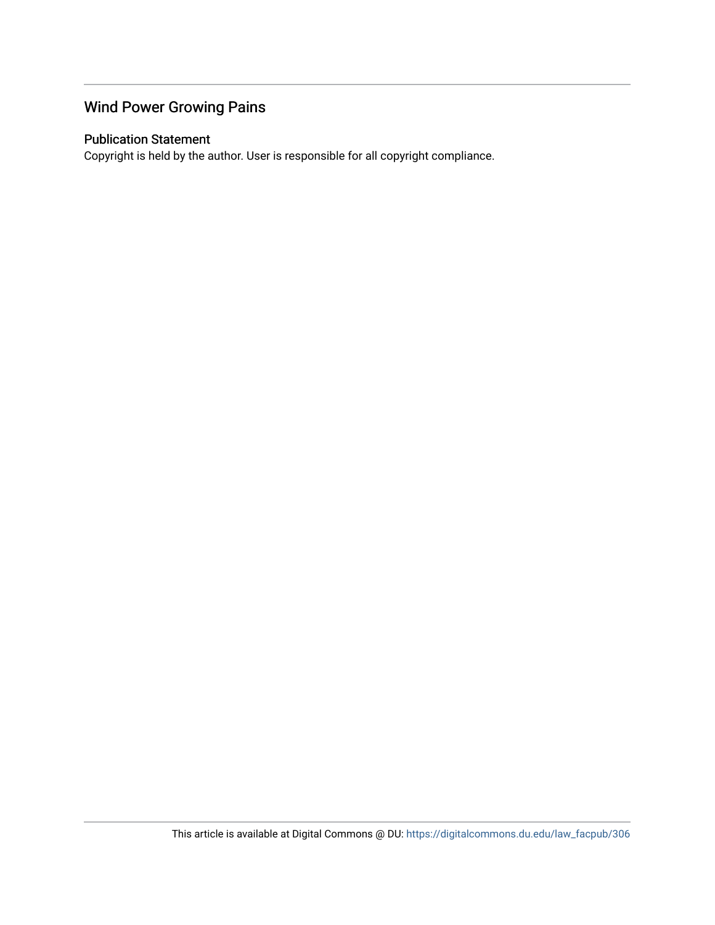## Wind Power Growing Pains

## Publication Statement

Copyright is held by the author. User is responsible for all copyright compliance.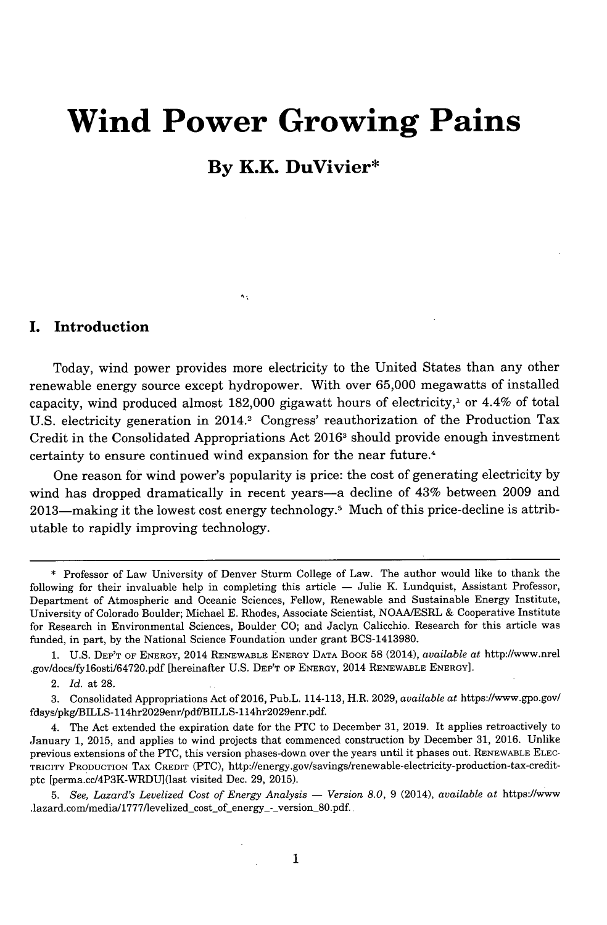# **Wind Power Growing Pains**

## **By K.K. DuVivier\***

#### **I. Introduction**

Today, wind power provides more electricity to the United States than any other renewable energy source except hydropower. With over **65,000** megawatts of installed capacity, wind produced almost 182,000 gigawatt hours of electricity,<sup>1</sup> or 4.4% of total U.S. electricity generation in 2014.<sup>2</sup> Congress' reauthorization of the Production Tax Credit in the Consolidated Appropriations Act **20163** should provide enough investment certainty to ensure continued wind expansion for the near future.4

 $\mathbf{A}$  ,

One reason for wind power's popularity is price: the cost of generating electricity **by** wind has dropped dramatically in recent years-a decline of 43% between **2009** and 2013-making it the lowest cost energy technology.5 Much of this price-decline is attributable to rapidly improving technology.

**1. U.S.** DEP'T OF ENERGY, 2014 **RENEWABLE ENERGY** DATA BooK **58** (2014), *available at* http://www.nrel .gov/docs/fyl6ostil64720.pdf [hereinafter **U.S. DEP'T OF ENERGY,** 2014 **RENEWABLE ENERGY].**

2. *Id.* at **28.**

<sup>\*</sup> Professor of Law University of Denver Sturm College of Law. The author would like to thank the following for their invaluable help in completing this article **-** Julie K. Lundquist, Assistant Professor, Department of Atmospheric and Oceanic Sciences, Fellow, Renewable and Sustainable Energy Institute, University of Colorado Boulder; Michael **E.** Rhodes, Associate Scientist, **NOAA/ESRL &** Cooperative Institute for Research in Environmental Sciences, Boulder **CO;** and Jaclyn Calicchio. Research for this article was funded, in part, **by** the National Science Foundation under grant **BCS-1413980.**

**<sup>3.</sup>** Consolidated Appropriations Act of **2016,** Pub.L. 114-113, H.R. **2029,** *available at* https://www.gpo.gov/ fdsys/pkg/BILLS-114hr2029enr/pdflBILLS-114hr2O29enr.pdf.

<sup>4.</sup> The Act extended the expiration date for the PTC to December **31, 2019.** It applies retroactively to January **1, 2015,** and applies to wind projects that commenced construction **by** December **31, 2016.** Unlike previous extensions of the PTC, this version phases-down over the years until it phases out. RENEWABLE ELEC-TRICITY PRODUCTION **TAX CREDIT** (PTC), http://energy.gov/savings/renewable-electricity-production-tax-creditptc [perma.cc/4P3K-WRDU](last visited Dec. **29, 2015).**

*<sup>5.</sup> See, Lazard's Levelized Cost of Energy Analysis* **-** *Version 8.0,* **9** (2014), *available at* https://www .lazard.com/media/1777/levelized\_cost\_of\_energy\_-\_version\_80.pdf.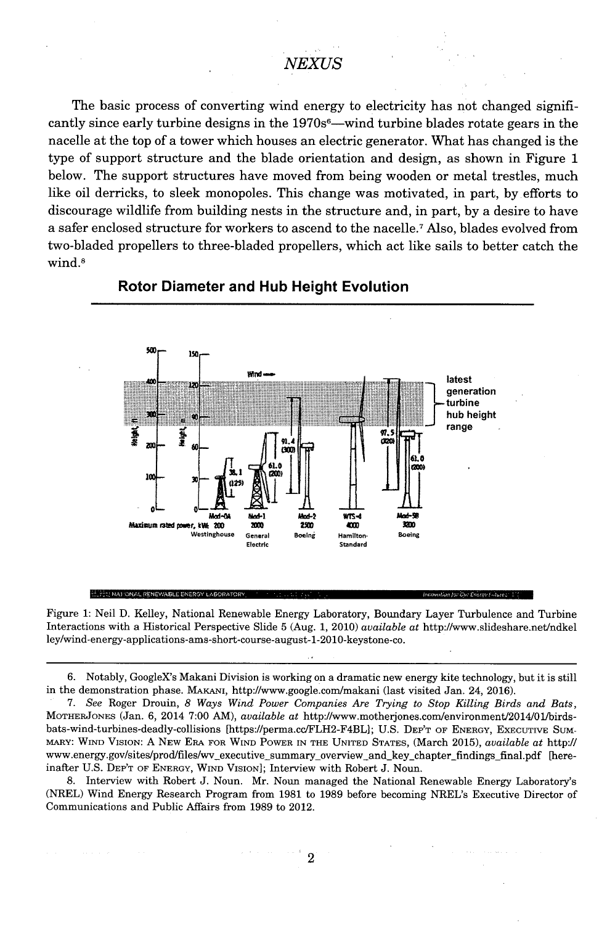The basic process of converting wind energy to electricity has not changed significantly since early turbine designs in the **1970s6-wind** turbine blades rotate gears in the nacelle at the top of a tower which houses an electric generator. What has changed is the type of support structure and the blade orientation and design, as shown in Figure **<sup>1</sup>** below. The support structures have moved from being wooden or metal trestles, much like oil derricks, to sleek monopoles. This change was motivated, in part, **by** efforts to discourage wildlife from building nests in the structure and, in part, **by** a desire to have a safer enclosed structure for workers to ascend to the nacelle.7 Also, blades evolved from two-bladed propellers to three-bladed propellers, which act like sails to better catch the wind.<sup>8</sup>



#### Rotor Diameter and Hub Height Evolution

Figure 1: Neil D. Kelley, National Renewable Energy Laboratory, Boundary Layer Turbulence and Turbine Interactions with a Historical Perspective Slide 5 (Aug. 1, 2010) *available at* http://www.slideshare.net/ndkel ley/wind-energy-applications-ams-short-course-august-1-2010-keystone-co.

Incovertion for Our Energy Filters:

**M. WALNAT ONAL RENEWABLE ENERGY LABORATORY** 

6. Notably, GoogleX's Makani Division is working on a dramatic new energy kite technology, but it is still in the demonstration phase. MAKANI, http://www.google.com/makani (last visited Jan. 24, 2016).

7. *See* Roger Drouin, *8 Ways Wind Power Companies Are Trying to Stop Killing Birds and Bats,* MOTHERJONES (Jan. 6, 2014 7:00 AM), *available at* http://www.motherjones.com/environment/2014/01/birdsbats-wind-turbines-deadly-collisions [https://perma.cc/FLH2-F4BL]; U.S. DEP'T OF ENERGY, EXECUTIVE SuM-1YARY: WIND VIsION: A NEw ERA FOR WIND POWER IN THE UNTERD STATEs, (March 2015), *available at* http:// www.energy.gov/sites/prod/files/wv\_executive\_summary\_overview\_and\_key\_chapter\_findings\_final.pdf [hereinafter U.S. DEP'T OF ENERGY, WIND VIsIoNI; Interview with Robert J. Noun.

8. Interview with Robert J. Noun. Mr. Noun managed the National Ronewable Energy Laboratory's (NREL) Wind Energy Research Program from 1981 to 1989 before becoming NREL's Executive Director of Communications and Public Affairs from 1989 to 2012.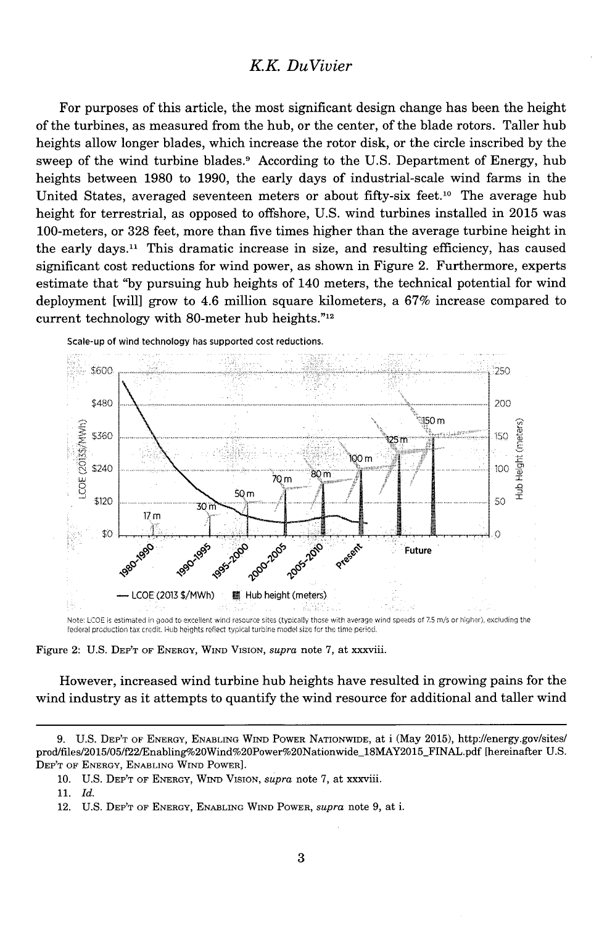#### *KK DuVivier*

For purposes of this article, the most significant design change has been the height of the turbines, as measured from the hub, or the center, of the blade rotors. Taller hub heights allow longer blades, which increase the rotor disk, or the circle inscribed **by** the sweep of the wind turbine blades.<sup>9</sup> According to the U.S. Department of Energy, hub heights between **1980** to **1990,** the early days of industrial-scale wind farms in the United States, averaged seventeen meters or about fifty-six feet.<sup>10</sup> The average hub height for terrestrial, as opposed to offshore, **U.S.** wind turbines installed in **2015** was 100-meters, or **328** feet, more than five times higher than the average turbine height in the early days." This dramatic increase in size, and resulting efficiency, has caused significant cost reductions for wind power, as shown in Figure 2. Furthermore, experts estimate that **"by** pursuing hub heights of 140 meters, the technical potential for wind deployment [will] grow to 4.6 million square kilometers, a **67%** increase compared to current technology with 80-meter hub heights."12



Scale-up of wind technology has supported cost reductions.

Note: LCOE is estimated in good to excellent wind resource sites (typically those with average wind speeds of 7.5 m/s or higher), excluding the federal productior tax credit. **Hub** heights reflect tvoical turbine model size for the time period

Figure 2: **U.S. DEP'T OF ENERGY, WIND VIsIoN,** *supra* note **7,** at xxxviii.

However, increased wind turbine hub heights have resulted in growing pains for the wind industry as it attempts to quantify the wind resource for additional and taller wind

**<sup>9.</sup> U.S. DEP'T OF ENERGY, ENABLING** WIND **POWER NATIONWIDE,** at i (May **2015),** http://energy.gov/sites/ prod/files/2015/05/f22/Enabling%2OWind%2OPower%2ONationwide\_18MAY2015\_FINAL.pdf [hereinafter **U.S. DEP'T OF ENERGY, ENABLING** WIND **POWER].**

**<sup>10.</sup> U.S. DEP'T OF ENERGY, WIND VIsIoN,** *supra* note **7,** at xxxviii.

*<sup>11.</sup> Id.*

<sup>12.</sup> **U.S. DEP'T OF ENERGY, ENABLING** WIND **POWER,** *supra* note **9,** at i.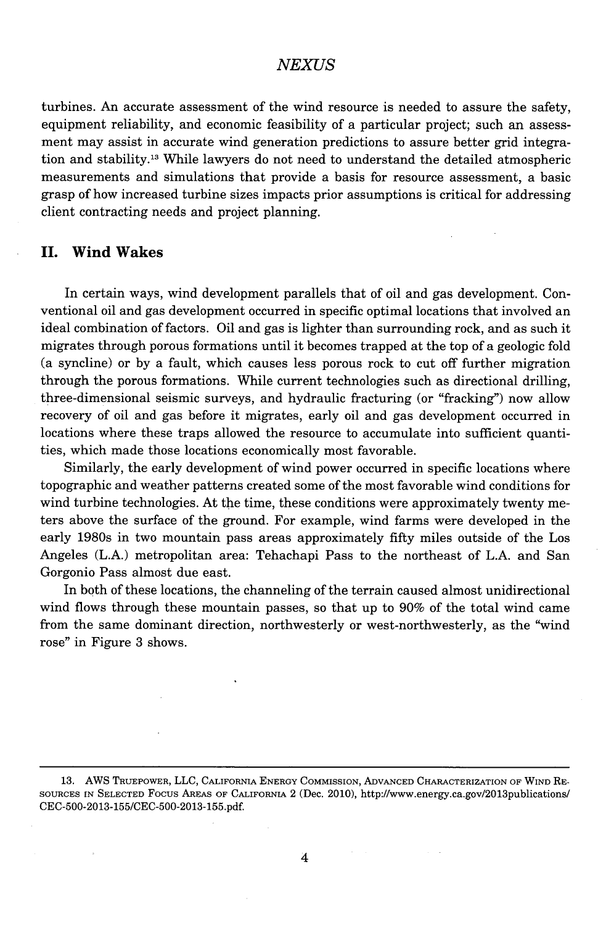turbines. **An** accurate assessment of the wind resource is needed to assure the safety, equipment reliability, and economic feasibility of a particular project; such an assessment may assist in accurate wind generation predictions to assure better grid integration and stability.13 While lawyers do not need to understand the detailed atmospheric measurements and simulations that provide a basis for resource assessment, a basic grasp of how increased turbine sizes impacts prior assumptions is critical for addressing client contracting needs and project planning.

#### **II. Wind Wakes**

In certain ways, wind development parallels that of oil and gas development. Conventional oil and gas development occurred in specific optimal locations that involved an ideal combination of factors. Oil and gas is lighter than surrounding rock, and as such it migrates through porous formations until it becomes trapped at the top of a geologic fold (a syncline) or **by** a fault, which causes less porous rock to cut off further migration through the porous formations. While current technologies such as directional drilling, three-dimensional seismic surveys, and hydraulic fracturing (or "fracking") now allow recovery of oil and gas before it migrates, early oil and gas development occurred in locations where these traps allowed the resource to accumulate into sufficient quantities, which made those locations economically most favorable.

Similarly, the early development of wind power occurred in specific locations where topographic and weather patterns created some of the most favorable wind conditions for wind turbine technologies. At the time, these conditions were approximately twenty meters above the surface of the ground. For example, wind farms were developed in the early 1980s in two mountain pass areas approximately **fifty** miles outside of the Los Angeles **(L.A.)** metropolitan area: Tehachapi Pass to the northeast of **L.A.** and San Gorgonio Pass almost due east.

In both of these locations, the channeling of the terrain caused almost unidirectional wind flows through these mountain passes, so that up to **90%** of the total wind came from the same dominant direction, northwesterly or west-northwesterly, as the "wind rose" in Figure **3** shows.

**<sup>13.</sup>** AWS TRUEPOWER, **LLC,** CALIFORNIA ENERGY COMMISSION, ADVANCED CHARACTERIZATION OF WIND RE-**SOURCES IN SELECTED** Focus AREAS OF CALIFORNIA 2 (Dec. 2010), http://www.energy.ca.gov/2013publications/ **CEC-500-2013-155/CEC-500-2013-155.pdf.**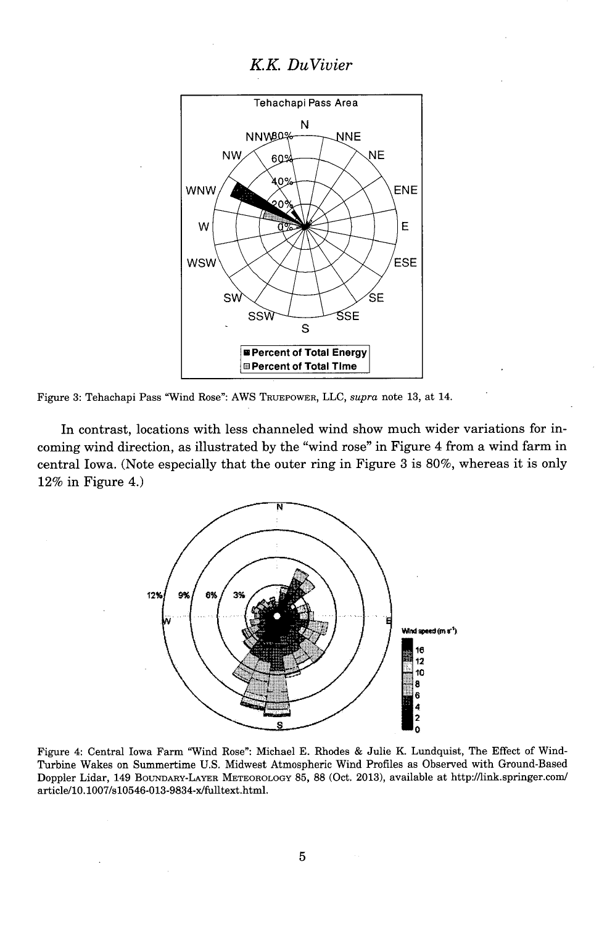## *KK DuVivier*



Figure **3:** Tehachapi Pass "Wind Rose": AWS **TRUEPOWER, LLC,** *supra* note **13,** at 14.

In contrast, locations with less channeled wind show much wider variations for incoming wind direction, as illustrated **by** the "wind rose" in Figure 4 from a wind farm in central Iowa. (Note especially that the outer ring in Figure **3** is **80%,** whereas it is only 12% in Figure 4.)



Figure 4: Central Iowa Farm "Wind Rose": Michael **E.** Rhodes **&** Julie **K.** Lundquist, The Effect of Wind-Turbine Wakes on Summertime **U.S.** Midwest Atmospheric Wind Profiles as Observed with Ground-Based Doppler Lidar, 149 BouNDARY-LAYER **METEOROLOGY 85, 88** (Oct. **2013),** available at http://1ink.springer.com/ article/10.1007/s10546-013-9834-x/fulltext.html.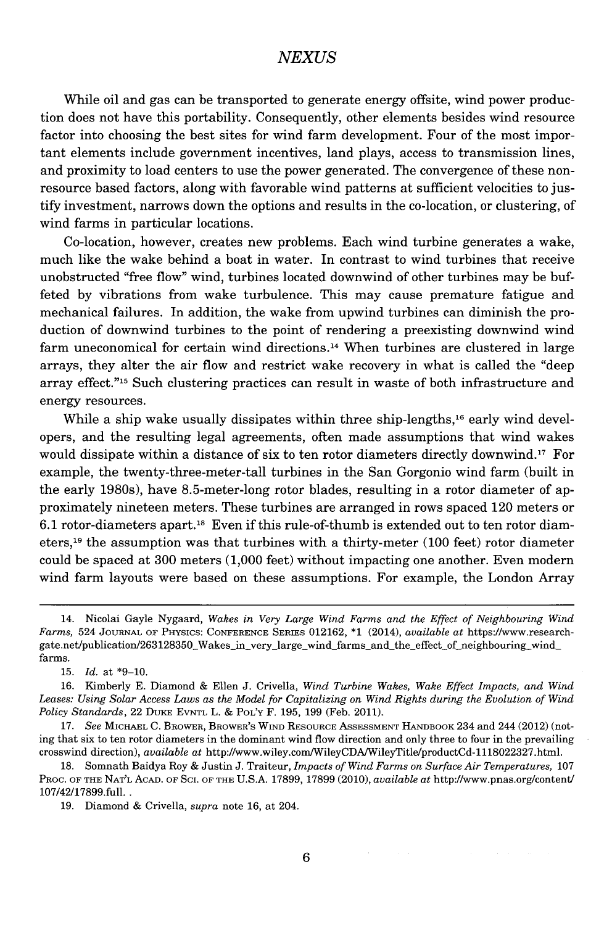While oil and gas can be transported to generate energy offsite, wind power production does not have this portability. Consequently, other elements besides wind resource factor into choosing the best sites for wind farm development. Four of the most important elements include government incentives, land plays, access to transmission lines, and proximity to load centers to use the power generated. The convergence of these nonresource based factors, along with favorable wind patterns at sufficient velocities to justify investment, narrows down the options and results in the co-location, or clustering, of wind farms in particular locations.

Co-location, however, creates new problems. Each wind turbine generates a wake, much like the wake behind a boat in water. In contrast to wind turbines that receive unobstructed "free flow" wind, turbines located downwind of other turbines may be buffeted **by** vibrations from wake turbulence. This may cause premature fatigue and mechanical failures. In addition, the wake from upwind turbines can diminish the production of downwind turbines to the point of rendering a preexisting downwind wind farm uneconomical for certain wind directions.14 When turbines are clustered in large arrays, they alter the air flow and restrict wake recovery in what is called the "deep array effect."<sup>15</sup> Such clustering practices can result in waste of both infrastructure and energy resources.

While a ship wake usually dissipates within three ship-lengths,<sup>16</sup> early wind developers, and the resulting legal agreements, often made assumptions that wind wakes would dissipate within a distance of six to ten rotor diameters directly downwind.<sup>17</sup> For example, the twenty-three-meter-tall turbines in the San Gorgonio wind farm (built in the early 1980s), have 8.5-meter-long rotor blades, resulting in a rotor diameter of approximately nineteen meters. These turbines are arranged in rows spaced 120 meters or 6.1 rotor-diameters apart.<sup>18</sup> Even if this rule-of-thumb is extended out to ten rotor diameters,<sup>19</sup> the assumption was that turbines with a thirty-meter (100 feet) rotor diameter could be spaced at **300** meters **(1,000** feet) without impacting one another. Even modern wind farm layouts were based on these assumptions. For example, the London Array

<sup>14.</sup> Nicolai Gayle Nygaard, *Wakes in Very Large Wind Farms and the Effect of Neighbouring Wind Farms,* 524 JouRNAL *OF* PHYsics: **CONFERENCE** SERIES 012162, **\*1** (2014), *available at* https://www.researchgate.net/publication/263128350\_Wakes\_in\_very\_large\_wind\_farms\_and\_the\_effect\_of\_neighbouring\_wind\_ farms.

**<sup>15.</sup>** *Id.* at **\*9-10.**

**<sup>16.</sup>** Kimberly **E.** Diamond **&** Ellen **J.** Crivella, *Wind Turbine Wakes, Wake Effect Impacts, and Wind Leases: Using Solar Access Laws as the Model for Capitalizing on Wind Rights during the Evolution of Wind Policy Standards,* 22 DuKE **EVNTL L. &** POL'Y F. **195, 199** (Feb. 2011).

**<sup>17.</sup>** *See* MICHAEL C. BROWER, BROWER'S **WIND RESOURCE ASSESSMENT HANDBOOK** 234 and 244 (2012) (noting that six to ten rotor diameters in the dominant wind flow direction and only three to four in the prevailing crosswind *direction), available at* http://www.wiley.com/WileyCDA/WileyTitle/productCd-1118022327.html.

**<sup>18.</sup>** Somnath Baidya Roy **&** Justin **J.** Traiteur, *Impacts of Wind Farms on Surface Air Temperatures, 107* **PROC. OF THE NAT'L ACAD.** OF **SCI.** OF **THE U.S.A. 17899, 17899** (2010), *available at* http://www.pnas.org/content/ **107/42/17899.full.** 

**<sup>19.</sup>** Diamond **&** Crivella, *supra note* **16,** at 204.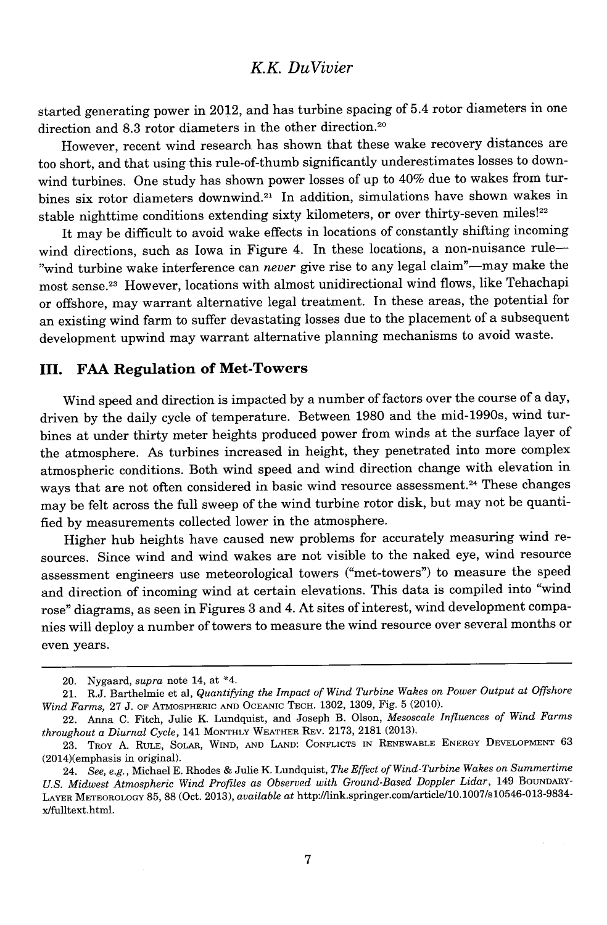#### *K.K. DuVivier*

started generating power in 2012, and has turbine spacing of 5.4 rotor diameters in one direction and 8.3 rotor diameters in the other direction.<sup>20</sup>

However, recent wind research has shown that these wake recovery distances are too short, and that using this rule-of-thumb significantly underestimates losses to downwind turbines. One study has shown power losses of up to 40% due to wakes from turbines six rotor diameters downwind.<sup>21</sup> In addition, simulations have shown wakes in stable nighttime conditions extending sixty kilometers, or over thirty-seven miles!<sup>22</sup>

It may be difficult to avoid wake effects in locations of constantly shifting incoming wind directions, such as Iowa in Figure 4. In these locations, a non-nuisance rule-"wind turbine wake interference can *never* give rise to any legal claim"-may make the most sense.<sup>23</sup> However, locations with almost unidirectional wind flows, like Tehachapi or offshore, may warrant alternative legal treatment. In these areas, the potential for an existing wind farm to suffer devastating losses due to the placement of a subsequent development upwind may warrant alternative planning mechanisms to avoid waste.

#### **III. FAA Regulation of Met-Towers**

Wind speed and direction is impacted **by** a number of factors over the course of a day, driven **by** the daily cycle of temperature. Between **1980** and the mid-1990s, wind turbines at under thirty meter heights produced power from winds at the surface layer of the atmosphere. As turbines increased in height, they penetrated into more complex atmospheric conditions. Both wind speed and wind direction change with elevation in ways that are not often considered in basic wind resource assessment.<sup>24</sup> These changes may be felt across the full sweep of the wind turbine rotor disk, but may not be quantified **by** measurements collected lower in the atmosphere.

Higher hub heights have caused new problems for accurately measuring wind resources. Since wind and wind wakes are not visible to the naked eye, wind resource assessment engineers use meteorological towers ("met-towers") to measure the speed and direction of incoming wind at certain elevations. This data is compiled into "wind rose" diagrams, as seen in Figures **3** and 4. At sites of interest, wind development companies will deploy a number of towers to measure the wind resource over several months or even years.

<sup>20.</sup> Nygaard, *supra* note 14, at \*4.

<sup>21.</sup> R.J. Barthelmie et al, *Quantifying the Impact of Wind Turbine Wakes on Power Output at Offshore Wind Farms,* **27 J.** OF ATMOSPHERIC **AND** OCEANIC **TECH. 1302, 1309,** Fig. **5** (2010).

<sup>22.</sup> Anna **C.** Fitch, Julie K Lundquist, and Joseph B. Olson, *Mesoscale Influences of Wind Farms throughout a Diurnal Cycle,* 141 **MONTHLY** WEATHER REV. 2173, 2181 **(2013).**

**<sup>23.</sup>** TROY **A.** RULE, SOLAR, WIND, **AND LAND: CONFLICTS IN** RENEWABLE **ENERGY DEVELOPMENT 63** (2014)(emphasis in original).

<sup>24.</sup> *See, e.g.,* Michael **E.** Rhodes **&** Julie K. Lundquist, *The Effect of Wind-Turbine Wakes on Summertime U.S. Midwest Atmospheric Wind Profiles as Observed with Ground-Based Doppler Lidar,* 149 BoUNDARY-LAYER METEOROLOGY 85, 88 (Oct. 2013), *available at http://link.springer.com/article/10.1007/s10546-013-9834*x/fulltext.html.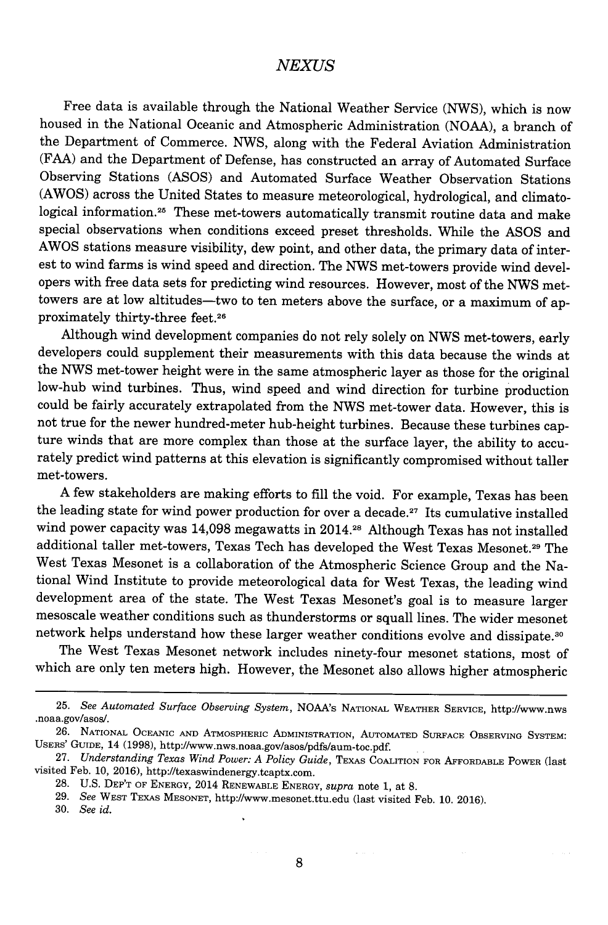Free data is available through the National Weather Service **(NWS),** which is now housed in the National Oceanic and Atmospheric Administration **(NOAA),** a branch of the Department of Commerce. **NWS,** along with the Federal Aviation Administration **(FAA)** and the Department of Defense, has constructed an array of Automated Surface Observing Stations **(ASOS)** and Automated Surface Weather Observation Stations (AWOS) across the United States to measure meteorological, hydrological, and cimatological information.25 These met-towers automatically transmit routine data and make special observations when conditions exceed preset thresholds. While the **ASOS** and AWOS stations measure visibility, dew point, and other data, the primary data of interest to wind farms is wind speed and direction. The **NWS** met-towers provide wind developers with free data sets for predicting wind resources. However, most of the **NWS** mettowers are at low altitudes-two to ten meters above the surface, or a maximum of approximately thirty-three feet.26

Although wind development companies do not rely solely on **NWS** met-towers, early developers could supplement their measurements with this data because the winds at the **NWS** met-tower height were in the same atmospheric layer as those for the original low-hub wind turbines. Thus, wind speed and wind direction for turbine production could be fairly accurately extrapolated from the **NWS** met-tower data. However, this is not true for the newer hundred-meter hub-height turbines. Because these turbines capture winds that are more complex than those at the surface layer, the ability to accurately predict wind patterns at this elevation is significantly compromised without taller met-towers.

**<sup>A</sup>**few stakeholders are making efforts to **fill** the void. For example, Texas has been the leading state for wind power production for over a decade.27 Its cumulative installed wind power capacity was 14,098 megawatts in **2014.28** Although Texas has not installed additional taller met-towers, Texas Tech has developed the West Texas Mesonet.<sup>29</sup> The West Texas Mesonet is a collaboration of the Atmospheric Science Group and the National Wind Institute to provide meteorological data for West Texas, the leading wind development area of the state. The West Texas Mesonet's goal is to measure larger mesoscale weather conditions such as thunderstorms or squall lines. The wider mesonet network helps understand how these larger weather conditions evolve and dissipate.3o

The West Texas Mesonet network includes ninety-four mesonet stations, most of which are only ten meters high. However, the Mesonet also allows higher atmospheric

 $\omega$  . Then

**<sup>25.</sup>** *See Automated Surface Observing System, NOAA's* NATIONAL WEATHER SERVICE, http://www.nws *.noaa.gov/asos/.*

**<sup>26.</sup>** NATIONAL OCEANIC AND ATMOSPHERIc ADMINISTRATION, AUTOMATED **SURFACE** OBSERVING SYSTEM: UsERs' GUIDE, 14 **(1998),** http://www.nws.noaa.gov/asos/pdfs/aum-toc.pdf.

**<sup>27.</sup>** *Understanding Texas Wind Power: A Policy Guide,* **TEXAS COALITION** FOR AFFORDABLE POWER (last visited Feb. **10, 2016),** http://texaswindenergy.tcaptx.com.

**<sup>28.</sup> U.S.** DEP'T OF ENERGY, 2014 RENEWABLE ENERGY, *supra* note **1,** at **8.**

**<sup>29.</sup>** *See* WEST TEXAS **MESONET,** http://www.mesonet.ttu.edu (last visited Feb. **10. 2016).**

*<sup>30.</sup> See id.*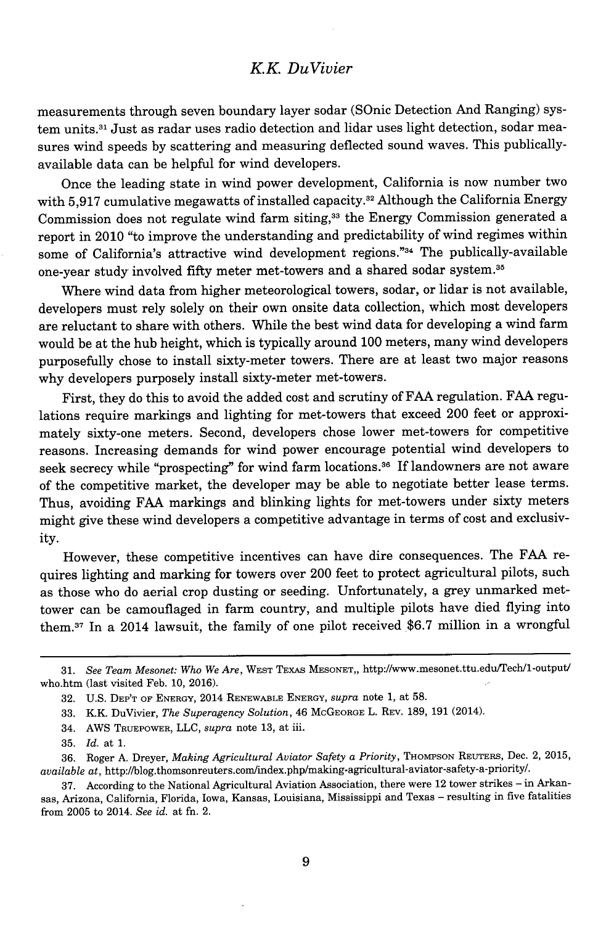#### *KK DuVivier*

measurements through seven boundary layer sodar (SOnic Detection And Ranging) system units.<sup>31</sup> Just as radar uses radio detection and lidar uses light detection, sodar measures wind speeds **by** scattering and measuring deflected sound waves. This publicallyavailable data can be helpful for wind developers.

Once the leading state in wind power development, California is now number two with 5,917 cumulative megawatts of installed capacity.<sup>32</sup> Although the California Energy Commission does not regulate wind farm siting,<sup>33</sup> the Energy Commission generated a report in 2010 "to improve the understanding and predictability of wind regimes within some of California's attractive wind development regions."<sup>34</sup> The publically-available one-year study involved **fifty** meter met-towers and a shared sodar system.<sup>35</sup>

Where wind data from higher meteorological towers, sodar, or lidar is not available, developers must rely solely on their own onsite data collection, which most developers are reluctant to share with others. While the best wind data for developing a wind farm would be at the hub height, which is typically around **100** meters, many wind developers purposefully chose to install sixty-meter towers. There are at least two major reasons why developers purposely install sixty-meter met-towers.

First, they do this to avoid the added cost and scrutiny of **FAA** regulation. **FAA** regulations require markings and lighting for met-towers that exceed 200 feet or approximately sixty-one meters. Second, developers chose lower met-towers for competitive reasons. Increasing demands for wind power encourage potential wind developers to seek secrecy while "prospecting" for wind farm locations.<sup>36</sup> If landowners are not aware of the competitive market, the developer may be able to negotiate better lease terms. Thus, avoiding **FAA** markings and blinking lights for met-towers under sixty meters might give these wind developers a competitive advantage in terms of cost and exclusivity.

However, these competitive incentives can have dire consequences. The **FAA** requires lighting and marking for towers over 200 feet to protect agricultural pilots, such as those who do aerial crop dusting or seeding. Unfortunately, a grey unmarked mettower can be camouflaged in farm country, and multiple pilots have died flying into them.<sup>37</sup> In a 2014 lawsuit, the family of one pilot received \$6.7 million in a wrongful

- 34. AWS TRUEPOWER, **LLC,** *supra* note **13,** at iii.
- **35.** *Id. at* **1.**

*<sup>31.</sup> See Team Mesonet: Who We Are,* WEST TEXAS MESONET,, http://www.mesonet.ttu.edu/Tech/1-output/ who.htm (last visited Feb. **10, 2016).**

**<sup>32.</sup> U.S.** DEP'T OF **ENERGY,** 2014 RENEWABLE ENERGY, *supra* note **1,** at **58.**

**<sup>33.</sup>** K.K. DuVivier, *The Superagency Solution, 46* McGEORGE L. REv. **189, 191** (2014).

**<sup>36.</sup>** Roger **A.** Dreyer, *Making Agricultural Aviator Safety a Priority,* **THOMPSON** REUTERS, Dec. 2, **2015,** *available at,* http://blog.thomsonreuters.com/index.php/making-agricultural-aviator-safety-a-priority/.

**<sup>37.</sup>** According to the National Agricultural Aviation Association, there were 12 tower strikes **-** in Arkansas, Arizona, California, Florida, Iowa, Kansas, Louisiana, Mississippi and Texas **-** resulting in five fatalities from **2005** to 2014. *See id.* at fn. 2.